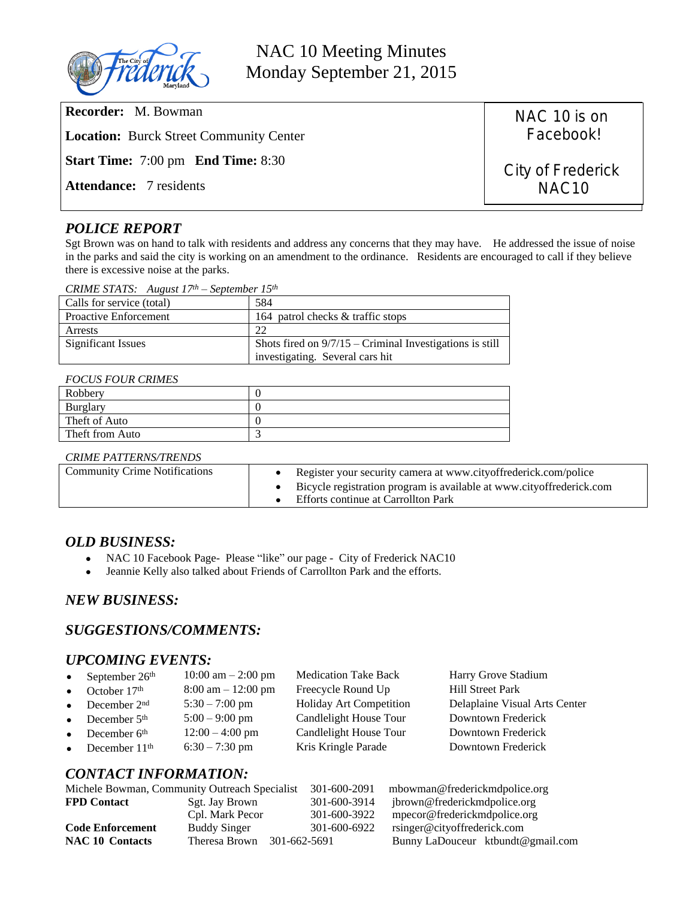

NAC 10 Meeting Minutes Monday September 21, 2015

| <b>Recorder:</b> M. Bowman                                            | NAC 10 is on      |
|-----------------------------------------------------------------------|-------------------|
| <b>Location:</b> Burck Street Community Center                        | Facebook!         |
| <b>Start Time:</b> 7:00 pm <b>End Time:</b> 8:30<br>City of Frederick |                   |
| <b>Attendance:</b> 7 residents                                        | NAC <sub>10</sub> |
|                                                                       |                   |

# *POLICE REPORT*

Sgt Brown was on hand to talk with residents and address any concerns that they may have. He addressed the issue of noise in the parks and said the city is working on an amendment to the ordinance. Residents are encouraged to call if they believe there is excessive noise at the parks.

|  | CRIME STATS: August $17th$ – September $15th$ |  |
|--|-----------------------------------------------|--|
|--|-----------------------------------------------|--|

| Calls for service (total)    | 584                                                        |
|------------------------------|------------------------------------------------------------|
| <b>Proactive Enforcement</b> | 164 patrol checks & traffic stops                          |
| Arrests                      | 22                                                         |
| Significant Issues           | Shots fired on $9/7/15$ – Criminal Investigations is still |
|                              | investigating. Several cars hit                            |

#### *FOCUS FOUR CRIMES*

| Robbery         |  |
|-----------------|--|
| Burglary        |  |
| Theft of Auto   |  |
| Theft from Auto |  |

#### *CRIME PATTERNS/TRENDS*

| <b>Community Crime Notifications</b> | Register your security camera at www.cityoffrederick.com/police<br>Bicycle registration program is available at www.cityoffrederick.com |
|--------------------------------------|-----------------------------------------------------------------------------------------------------------------------------------------|
|                                      | Efforts continue at Carrollton Park                                                                                                     |
|                                      |                                                                                                                                         |

#### *OLD BUSINESS:*

- NAC 10 Facebook Page- Please "like" our page City of Frederick NAC10
- Jeannie Kelly also talked about Friends of Carrollton Park and the efforts.

## *NEW BUSINESS:*

## *SUGGESTIONS/COMMENTS:*

#### *UPCOMING EVENTS:*

|           |                            | 10:00 am $-$ 2:00 pm                 | <b>Medication Take Back</b> | Harry Grove Stadium           |
|-----------|----------------------------|--------------------------------------|-----------------------------|-------------------------------|
| $\bullet$ | September 26 <sup>th</sup> |                                      |                             |                               |
| $\bullet$ | October $17th$             | $8:00 \text{ am} - 12:00 \text{ pm}$ | Freecycle Round Up          | <b>Hill Street Park</b>       |
|           | • December $2nd$           | $5:30 - 7:00$ pm                     | Holiday Art Competition     | Delaplaine Visual Arts Center |
|           | • December $5th$           | $5:00 - 9:00$ pm                     | Candlelight House Tour      | Downtown Frederick            |
|           | • December $6th$           | $12:00 - 4:00$ pm                    | Candlelight House Tour      | Downtown Frederick            |
|           | • December $11th$          | $6:30 - 7:30$ pm                     | Kris Kringle Parade         | Downtown Frederick            |
|           |                            |                                      |                             |                               |

## *CONTACT INFORMATION:*

| Michele Bowman, Community Outreach Specialist |                     | 301-600-2091 | mbowman@frederickmdpolice.org |                                   |
|-----------------------------------------------|---------------------|--------------|-------------------------------|-----------------------------------|
| <b>FPD Contact</b>                            | Sgt. Jay Brown      | 301-600-3914 | jbrown@frederickmdpolice.org  |                                   |
|                                               | Cpl. Mark Pecor     | 301-600-3922 | mpecor@frederickmdpolice.org  |                                   |
| <b>Code Enforcement</b>                       | <b>Buddy Singer</b> | 301-600-6922 | rsinger@cityoffrederick.com   |                                   |
| <b>NAC 10 Contacts</b>                        | Theresa Brown       | 301-662-5691 |                               | Bunny LaDouceur ktbundt@gmail.com |